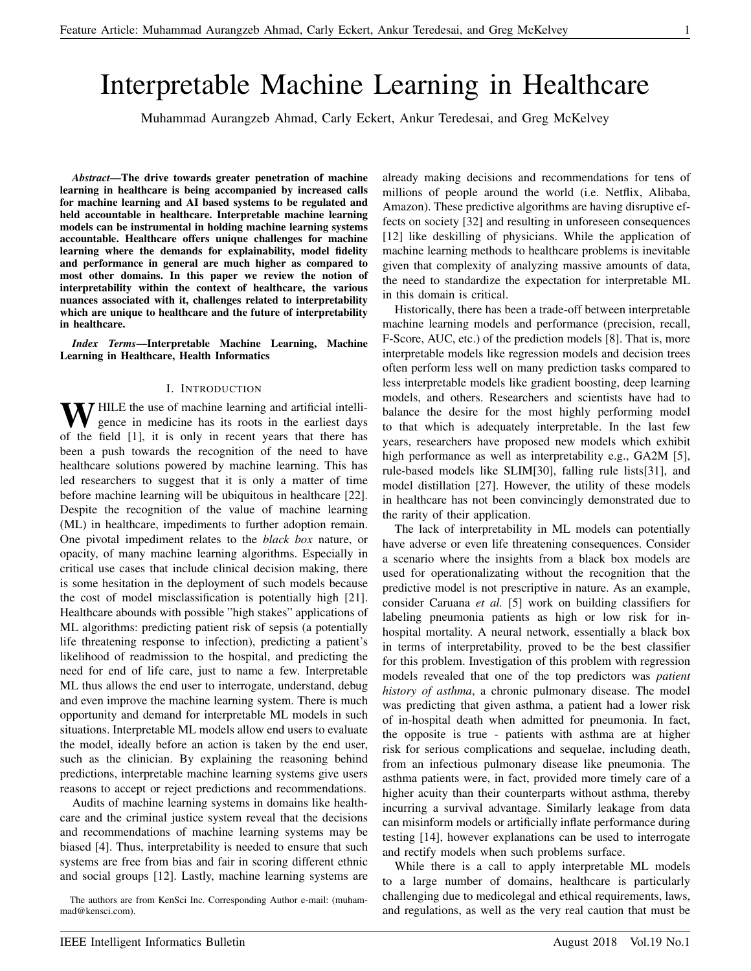# Interpretable Machine Learning in Healthcare

Muhammad Aurangzeb Ahmad, Carly Eckert, Ankur Teredesai, and Greg McKelvey

*Abstract*—The drive towards greater penetration of machine learning in healthcare is being accompanied by increased calls for machine learning and AI based systems to be regulated and held accountable in healthcare. Interpretable machine learning models can be instrumental in holding machine learning systems accountable. Healthcare offers unique challenges for machine learning where the demands for explainability, model fidelity and performance in general are much higher as compared to most other domains. In this paper we review the notion of interpretability within the context of healthcare, the various nuances associated with it, challenges related to interpretability which are unique to healthcare and the future of interpretability in healthcare.

*Index Terms*—Interpretable Machine Learning, Machine Learning in Healthcare, Health Informatics

## I. INTRODUCTION

**N** HILE the use of machine learning and artificial intelligence in medicine has its roots in the earliest days of the field [1], it is only in recent years that there has been a push towards the recognition of the need to have healthcare solutions powered by machine learning. This has led researchers to suggest that it is only a matter of time before machine learning will be ubiquitous in healthcare [22]. Despite the recognition of the value of machine learning (ML) in healthcare, impediments to further adoption remain. One pivotal impediment relates to the *black box* nature, or opacity, of many machine learning algorithms. Especially in critical use cases that include clinical decision making, there is some hesitation in the deployment of such models because the cost of model misclassification is potentially high [21]. Healthcare abounds with possible "high stakes" applications of ML algorithms: predicting patient risk of sepsis (a potentially life threatening response to infection), predicting a patient's likelihood of readmission to the hospital, and predicting the need for end of life care, just to name a few. Interpretable ML thus allows the end user to interrogate, understand, debug and even improve the machine learning system. There is much opportunity and demand for interpretable ML models in such situations. Interpretable ML models allow end users to evaluate the model, ideally before an action is taken by the end user, such as the clinician. By explaining the reasoning behind predictions, interpretable machine learning systems give users reasons to accept or reject predictions and recommendations.

Audits of machine learning systems in domains like healthcare and the criminal justice system reveal that the decisions and recommendations of machine learning systems may be biased [4]. Thus, interpretability is needed to ensure that such systems are free from bias and fair in scoring different ethnic and social groups [12]. Lastly, machine learning systems are

The authors are from KenSci Inc. Corresponding Author e-mail: (muhammad@kensci.com).

already making decisions and recommendations for tens of millions of people around the world (i.e. Netflix, Alibaba, Amazon). These predictive algorithms are having disruptive effects on society [32] and resulting in unforeseen consequences [12] like deskilling of physicians. While the application of machine learning methods to healthcare problems is inevitable given that complexity of analyzing massive amounts of data, the need to standardize the expectation for interpretable ML in this domain is critical.

Historically, there has been a trade-off between interpretable machine learning models and performance (precision, recall, F-Score, AUC, etc.) of the prediction models [8]. That is, more interpretable models like regression models and decision trees often perform less well on many prediction tasks compared to less interpretable models like gradient boosting, deep learning models, and others. Researchers and scientists have had to balance the desire for the most highly performing model to that which is adequately interpretable. In the last few years, researchers have proposed new models which exhibit high performance as well as interpretability e.g., GA2M [5], rule-based models like SLIM[30], falling rule lists[31], and model distillation [27]. However, the utility of these models in healthcare has not been convincingly demonstrated due to the rarity of their application.

The lack of interpretability in ML models can potentially have adverse or even life threatening consequences. Consider a scenario where the insights from a black box models are used for operationalizating without the recognition that the predictive model is not prescriptive in nature. As an example, consider Caruana *et al.* [5] work on building classifiers for labeling pneumonia patients as high or low risk for inhospital mortality. A neural network, essentially a black box in terms of interpretability, proved to be the best classifier for this problem. Investigation of this problem with regression models revealed that one of the top predictors was *patient history of asthma*, a chronic pulmonary disease. The model was predicting that given asthma, a patient had a lower risk of in-hospital death when admitted for pneumonia. In fact, the opposite is true - patients with asthma are at higher risk for serious complications and sequelae, including death, from an infectious pulmonary disease like pneumonia. The asthma patients were, in fact, provided more timely care of a higher acuity than their counterparts without asthma, thereby incurring a survival advantage. Similarly leakage from data can misinform models or artificially inflate performance during testing [14], however explanations can be used to interrogate and rectify models when such problems surface.

While there is a call to apply interpretable ML models to a large number of domains, healthcare is particularly challenging due to medicolegal and ethical requirements, laws, and regulations, as well as the very real caution that must be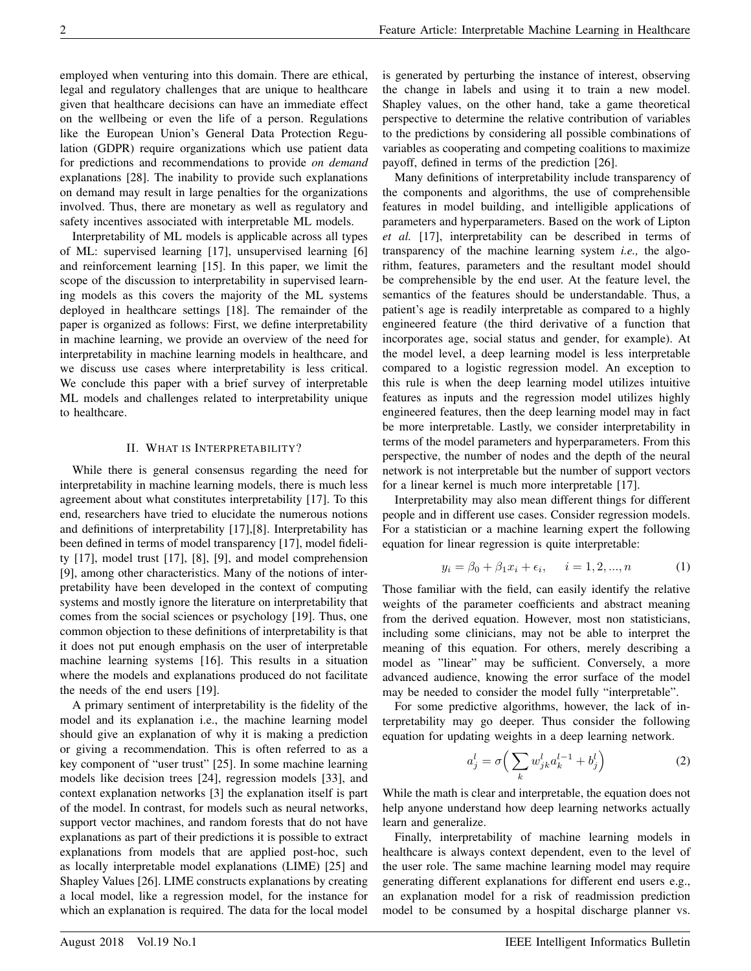employed when venturing into this domain. There are ethical, legal and regulatory challenges that are unique to healthcare given that healthcare decisions can have an immediate effect on the wellbeing or even the life of a person. Regulations like the European Union's General Data Protection Regulation (GDPR) require organizations which use patient data for predictions and recommendations to provide *on demand* explanations [28]. The inability to provide such explanations on demand may result in large penalties for the organizations involved. Thus, there are monetary as well as regulatory and safety incentives associated with interpretable ML models.

Interpretability of ML models is applicable across all types of ML: supervised learning [17], unsupervised learning [6] and reinforcement learning [15]. In this paper, we limit the scope of the discussion to interpretability in supervised learning models as this covers the majority of the ML systems deployed in healthcare settings [18]. The remainder of the paper is organized as follows: First, we define interpretability in machine learning, we provide an overview of the need for interpretability in machine learning models in healthcare, and we discuss use cases where interpretability is less critical. We conclude this paper with a brief survey of interpretable ML models and challenges related to interpretability unique to healthcare.

## II. WHAT IS INTERPRETABILITY?

While there is general consensus regarding the need for interpretability in machine learning models, there is much less agreement about what constitutes interpretability [17]. To this end, researchers have tried to elucidate the numerous notions and definitions of interpretability [17],[8]. Interpretability has been defined in terms of model transparency [17], model fidelity [17], model trust [17], [8], [9], and model comprehension [9], among other characteristics. Many of the notions of interpretability have been developed in the context of computing systems and mostly ignore the literature on interpretability that comes from the social sciences or psychology [19]. Thus, one common objection to these definitions of interpretability is that it does not put enough emphasis on the user of interpretable machine learning systems [16]. This results in a situation where the models and explanations produced do not facilitate the needs of the end users [19].

A primary sentiment of interpretability is the fidelity of the model and its explanation i.e., the machine learning model should give an explanation of why it is making a prediction or giving a recommendation. This is often referred to as a key component of "user trust" [25]. In some machine learning models like decision trees [24], regression models [33], and context explanation networks [3] the explanation itself is part of the model. In contrast, for models such as neural networks, support vector machines, and random forests that do not have explanations as part of their predictions it is possible to extract explanations from models that are applied post-hoc, such as locally interpretable model explanations (LIME) [25] and Shapley Values [26]. LIME constructs explanations by creating a local model, like a regression model, for the instance for which an explanation is required. The data for the local model

is generated by perturbing the instance of interest, observing the change in labels and using it to train a new model. Shapley values, on the other hand, take a game theoretical perspective to determine the relative contribution of variables to the predictions by considering all possible combinations of variables as cooperating and competing coalitions to maximize payoff, defined in terms of the prediction [26].

Many definitions of interpretability include transparency of the components and algorithms, the use of comprehensible features in model building, and intelligible applications of parameters and hyperparameters. Based on the work of Lipton *et al.* [17], interpretability can be described in terms of transparency of the machine learning system *i.e.,* the algorithm, features, parameters and the resultant model should be comprehensible by the end user. At the feature level, the semantics of the features should be understandable. Thus, a patient's age is readily interpretable as compared to a highly engineered feature (the third derivative of a function that incorporates age, social status and gender, for example). At the model level, a deep learning model is less interpretable compared to a logistic regression model. An exception to this rule is when the deep learning model utilizes intuitive features as inputs and the regression model utilizes highly engineered features, then the deep learning model may in fact be more interpretable. Lastly, we consider interpretability in terms of the model parameters and hyperparameters. From this perspective, the number of nodes and the depth of the neural network is not interpretable but the number of support vectors for a linear kernel is much more interpretable [17].

Interpretability may also mean different things for different people and in different use cases. Consider regression models. For a statistician or a machine learning expert the following equation for linear regression is quite interpretable:

$$
y_i = \beta_0 + \beta_1 x_i + \epsilon_i, \quad i = 1, 2, ..., n \tag{1}
$$

Those familiar with the field, can easily identify the relative weights of the parameter coefficients and abstract meaning from the derived equation. However, most non statisticians, including some clinicians, may not be able to interpret the meaning of this equation. For others, merely describing a model as "linear" may be sufficient. Conversely, a more advanced audience, knowing the error surface of the model may be needed to consider the model fully "interpretable".

For some predictive algorithms, however, the lack of interpretability may go deeper. Thus consider the following equation for updating weights in a deep learning network.

$$
a_j^l = \sigma \left( \sum_k w_{jk}^l a_k^{l-1} + b_j^l \right) \tag{2}
$$

While the math is clear and interpretable, the equation does not help anyone understand how deep learning networks actually learn and generalize.

Finally, interpretability of machine learning models in healthcare is always context dependent, even to the level of the user role. The same machine learning model may require generating different explanations for different end users e.g., an explanation model for a risk of readmission prediction model to be consumed by a hospital discharge planner vs.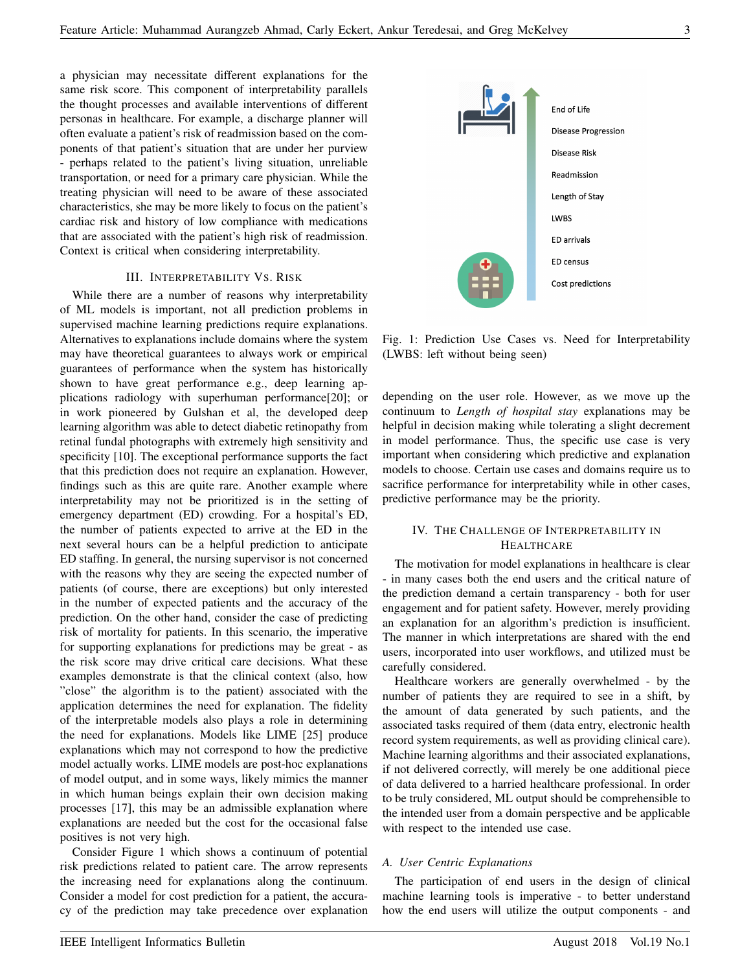a physician may necessitate different explanations for the same risk score. This component of interpretability parallels the thought processes and available interventions of different personas in healthcare. For example, a discharge planner will often evaluate a patient's risk of readmission based on the components of that patient's situation that are under her purview - perhaps related to the patient's living situation, unreliable transportation, or need for a primary care physician. While the treating physician will need to be aware of these associated characteristics, she may be more likely to focus on the patient's cardiac risk and history of low compliance with medications that are associated with the patient's high risk of readmission. Context is critical when considering interpretability.

## III. INTERPRETABILITY VS. RISK

While there are a number of reasons why interpretability of ML models is important, not all prediction problems in supervised machine learning predictions require explanations. Alternatives to explanations include domains where the system may have theoretical guarantees to always work or empirical guarantees of performance when the system has historically shown to have great performance e.g., deep learning applications radiology with superhuman performance[20]; or in work pioneered by Gulshan et al, the developed deep learning algorithm was able to detect diabetic retinopathy from retinal fundal photographs with extremely high sensitivity and specificity [10]. The exceptional performance supports the fact that this prediction does not require an explanation. However, findings such as this are quite rare. Another example where interpretability may not be prioritized is in the setting of emergency department (ED) crowding. For a hospital's ED, the number of patients expected to arrive at the ED in the next several hours can be a helpful prediction to anticipate ED staffing. In general, the nursing supervisor is not concerned with the reasons why they are seeing the expected number of patients (of course, there are exceptions) but only interested in the number of expected patients and the accuracy of the prediction. On the other hand, consider the case of predicting risk of mortality for patients. In this scenario, the imperative for supporting explanations for predictions may be great - as the risk score may drive critical care decisions. What these examples demonstrate is that the clinical context (also, how "close" the algorithm is to the patient) associated with the application determines the need for explanation. The fidelity of the interpretable models also plays a role in determining the need for explanations. Models like LIME [25] produce explanations which may not correspond to how the predictive model actually works. LIME models are post-hoc explanations of model output, and in some ways, likely mimics the manner in which human beings explain their own decision making processes [17], this may be an admissible explanation where explanations are needed but the cost for the occasional false positives is not very high.

Consider Figure 1 which shows a continuum of potential risk predictions related to patient care. The arrow represents the increasing need for explanations along the continuum. Consider a model for cost prediction for a patient, the accuracy of the prediction may take precedence over explanation



Fig. 1: Prediction Use Cases vs. Need for Interpretability (LWBS: left without being seen)

depending on the user role. However, as we move up the continuum to *Length of hospital stay* explanations may be helpful in decision making while tolerating a slight decrement in model performance. Thus, the specific use case is very important when considering which predictive and explanation models to choose. Certain use cases and domains require us to sacrifice performance for interpretability while in other cases, predictive performance may be the priority.

# IV. THE CHALLENGE OF INTERPRETABILITY IN **HEALTHCARE**

The motivation for model explanations in healthcare is clear - in many cases both the end users and the critical nature of the prediction demand a certain transparency - both for user engagement and for patient safety. However, merely providing an explanation for an algorithm's prediction is insufficient. The manner in which interpretations are shared with the end users, incorporated into user workflows, and utilized must be carefully considered.

Healthcare workers are generally overwhelmed - by the number of patients they are required to see in a shift, by the amount of data generated by such patients, and the associated tasks required of them (data entry, electronic health record system requirements, as well as providing clinical care). Machine learning algorithms and their associated explanations, if not delivered correctly, will merely be one additional piece of data delivered to a harried healthcare professional. In order to be truly considered, ML output should be comprehensible to the intended user from a domain perspective and be applicable with respect to the intended use case.

# *A. User Centric Explanations*

The participation of end users in the design of clinical machine learning tools is imperative - to better understand how the end users will utilize the output components - and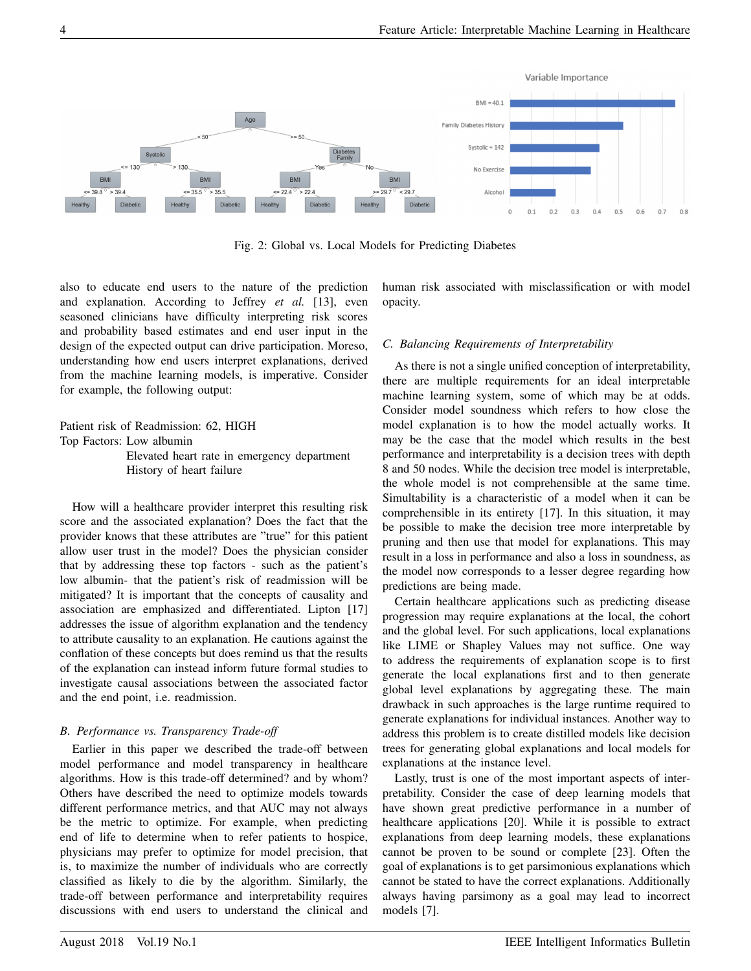

Fig. 2: Global vs. Local Models for Predicting Diabetes

also to educate end users to the nature of the prediction and explanation. According to Jeffrey *et al.* [13], even seasoned clinicians have difficulty interpreting risk scores and probability based estimates and end user input in the design of the expected output can drive participation. Moreso, understanding how end users interpret explanations, derived from the machine learning models, is imperative. Consider for example, the following output:

Patient risk of Readmission: 62, HIGH Top Factors: Low albumin Elevated heart rate in emergency department History of heart failure

How will a healthcare provider interpret this resulting risk score and the associated explanation? Does the fact that the provider knows that these attributes are "true" for this patient allow user trust in the model? Does the physician consider that by addressing these top factors - such as the patient's low albumin- that the patient's risk of readmission will be mitigated? It is important that the concepts of causality and association are emphasized and differentiated. Lipton [17] addresses the issue of algorithm explanation and the tendency to attribute causality to an explanation. He cautions against the conflation of these concepts but does remind us that the results of the explanation can instead inform future formal studies to investigate causal associations between the associated factor and the end point, i.e. readmission.

# *B. Performance vs. Transparency Trade-off*

Earlier in this paper we described the trade-off between model performance and model transparency in healthcare algorithms. How is this trade-off determined? and by whom? Others have described the need to optimize models towards different performance metrics, and that AUC may not always be the metric to optimize. For example, when predicting end of life to determine when to refer patients to hospice, physicians may prefer to optimize for model precision, that is, to maximize the number of individuals who are correctly classified as likely to die by the algorithm. Similarly, the trade-off between performance and interpretability requires discussions with end users to understand the clinical and

human risk associated with misclassification or with model opacity.

# *C. Balancing Requirements of Interpretability*

As there is not a single unified conception of interpretability, there are multiple requirements for an ideal interpretable machine learning system, some of which may be at odds. Consider model soundness which refers to how close the model explanation is to how the model actually works. It may be the case that the model which results in the best performance and interpretability is a decision trees with depth 8 and 50 nodes. While the decision tree model is interpretable, the whole model is not comprehensible at the same time. Simultability is a characteristic of a model when it can be comprehensible in its entirety [17]. In this situation, it may be possible to make the decision tree more interpretable by pruning and then use that model for explanations. This may result in a loss in performance and also a loss in soundness, as the model now corresponds to a lesser degree regarding how predictions are being made.

Certain healthcare applications such as predicting disease progression may require explanations at the local, the cohort and the global level. For such applications, local explanations like LIME or Shapley Values may not suffice. One way to address the requirements of explanation scope is to first generate the local explanations first and to then generate global level explanations by aggregating these. The main drawback in such approaches is the large runtime required to generate explanations for individual instances. Another way to address this problem is to create distilled models like decision trees for generating global explanations and local models for explanations at the instance level.

Lastly, trust is one of the most important aspects of interpretability. Consider the case of deep learning models that have shown great predictive performance in a number of healthcare applications [20]. While it is possible to extract explanations from deep learning models, these explanations cannot be proven to be sound or complete [23]. Often the goal of explanations is to get parsimonious explanations which cannot be stated to have the correct explanations. Additionally always having parsimony as a goal may lead to incorrect models [7].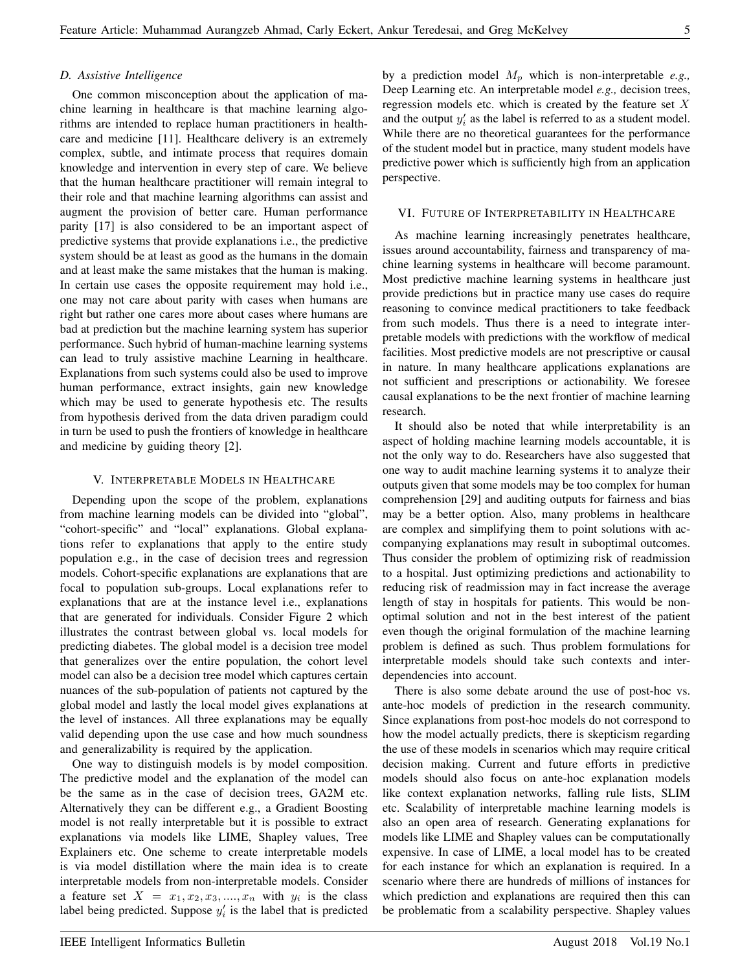# *D. Assistive Intelligence*

One common misconception about the application of machine learning in healthcare is that machine learning algorithms are intended to replace human practitioners in healthcare and medicine [11]. Healthcare delivery is an extremely complex, subtle, and intimate process that requires domain knowledge and intervention in every step of care. We believe that the human healthcare practitioner will remain integral to their role and that machine learning algorithms can assist and augment the provision of better care. Human performance parity [17] is also considered to be an important aspect of predictive systems that provide explanations i.e., the predictive system should be at least as good as the humans in the domain and at least make the same mistakes that the human is making. In certain use cases the opposite requirement may hold i.e., one may not care about parity with cases when humans are right but rather one cares more about cases where humans are bad at prediction but the machine learning system has superior performance. Such hybrid of human-machine learning systems can lead to truly assistive machine Learning in healthcare. Explanations from such systems could also be used to improve human performance, extract insights, gain new knowledge which may be used to generate hypothesis etc. The results from hypothesis derived from the data driven paradigm could in turn be used to push the frontiers of knowledge in healthcare and medicine by guiding theory [2].

# V. INTERPRETABLE MODELS IN HEALTHCARE

Depending upon the scope of the problem, explanations from machine learning models can be divided into "global", "cohort-specific" and "local" explanations. Global explanations refer to explanations that apply to the entire study population e.g., in the case of decision trees and regression models. Cohort-specific explanations are explanations that are focal to population sub-groups. Local explanations refer to explanations that are at the instance level i.e., explanations that are generated for individuals. Consider Figure 2 which illustrates the contrast between global vs. local models for predicting diabetes. The global model is a decision tree model that generalizes over the entire population, the cohort level model can also be a decision tree model which captures certain nuances of the sub-population of patients not captured by the global model and lastly the local model gives explanations at the level of instances. All three explanations may be equally valid depending upon the use case and how much soundness and generalizability is required by the application.

One way to distinguish models is by model composition. The predictive model and the explanation of the model can be the same as in the case of decision trees, GA2M etc. Alternatively they can be different e.g., a Gradient Boosting model is not really interpretable but it is possible to extract explanations via models like LIME, Shapley values, Tree Explainers etc. One scheme to create interpretable models is via model distillation where the main idea is to create interpretable models from non-interpretable models. Consider a feature set  $X = x_1, x_2, x_3, \dots, x_n$  with  $y_i$  is the class label being predicted. Suppose  $y_i'$  is the label that is predicted

by a prediction model  $M_p$  which is non-interpretable *e.g.*, Deep Learning etc. An interpretable model *e.g.,* decision trees, regression models etc. which is created by the feature set  $X$ and the output  $y_i'$  as the label is referred to as a student model. While there are no theoretical guarantees for the performance of the student model but in practice, many student models have predictive power which is sufficiently high from an application perspective.

#### VI. FUTURE OF INTERPRETABILITY IN HEALTHCARE

As machine learning increasingly penetrates healthcare, issues around accountability, fairness and transparency of machine learning systems in healthcare will become paramount. Most predictive machine learning systems in healthcare just provide predictions but in practice many use cases do require reasoning to convince medical practitioners to take feedback from such models. Thus there is a need to integrate interpretable models with predictions with the workflow of medical facilities. Most predictive models are not prescriptive or causal in nature. In many healthcare applications explanations are not sufficient and prescriptions or actionability. We foresee causal explanations to be the next frontier of machine learning research.

It should also be noted that while interpretability is an aspect of holding machine learning models accountable, it is not the only way to do. Researchers have also suggested that one way to audit machine learning systems it to analyze their outputs given that some models may be too complex for human comprehension [29] and auditing outputs for fairness and bias may be a better option. Also, many problems in healthcare are complex and simplifying them to point solutions with accompanying explanations may result in suboptimal outcomes. Thus consider the problem of optimizing risk of readmission to a hospital. Just optimizing predictions and actionability to reducing risk of readmission may in fact increase the average length of stay in hospitals for patients. This would be nonoptimal solution and not in the best interest of the patient even though the original formulation of the machine learning problem is defined as such. Thus problem formulations for interpretable models should take such contexts and interdependencies into account.

There is also some debate around the use of post-hoc vs. ante-hoc models of prediction in the research community. Since explanations from post-hoc models do not correspond to how the model actually predicts, there is skepticism regarding the use of these models in scenarios which may require critical decision making. Current and future efforts in predictive models should also focus on ante-hoc explanation models like context explanation networks, falling rule lists, SLIM etc. Scalability of interpretable machine learning models is also an open area of research. Generating explanations for models like LIME and Shapley values can be computationally expensive. In case of LIME, a local model has to be created for each instance for which an explanation is required. In a scenario where there are hundreds of millions of instances for which prediction and explanations are required then this can be problematic from a scalability perspective. Shapley values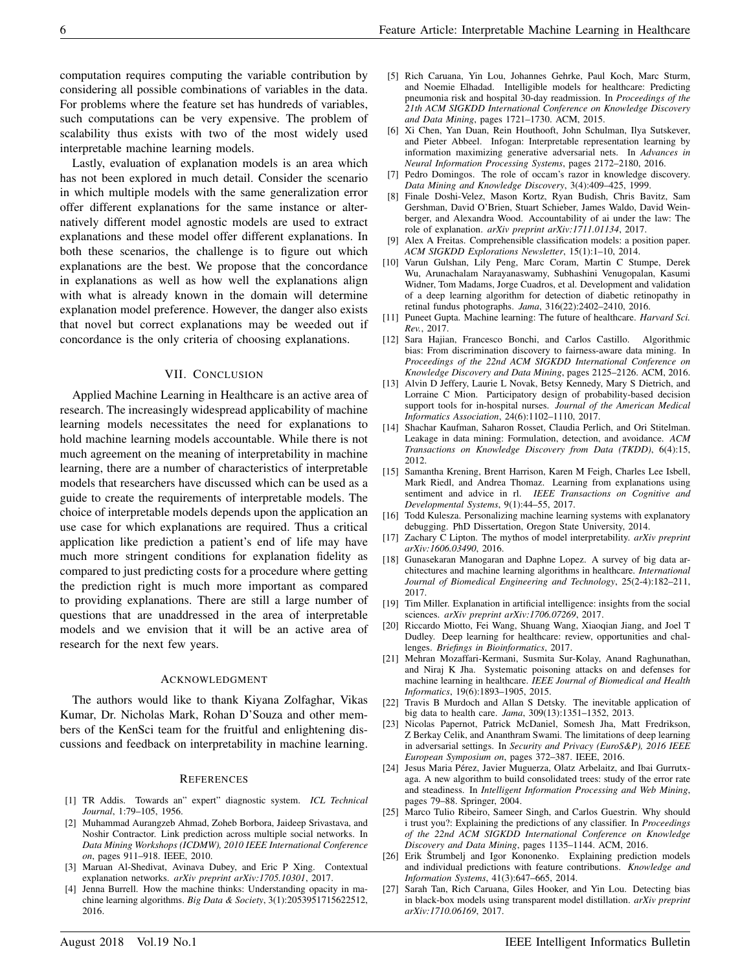computation requires computing the variable contribution by considering all possible combinations of variables in the data. For problems where the feature set has hundreds of variables, such computations can be very expensive. The problem of scalability thus exists with two of the most widely used interpretable machine learning models.

Lastly, evaluation of explanation models is an area which has not been explored in much detail. Consider the scenario in which multiple models with the same generalization error offer different explanations for the same instance or alternatively different model agnostic models are used to extract explanations and these model offer different explanations. In both these scenarios, the challenge is to figure out which explanations are the best. We propose that the concordance in explanations as well as how well the explanations align with what is already known in the domain will determine explanation model preference. However, the danger also exists that novel but correct explanations may be weeded out if concordance is the only criteria of choosing explanations.

## VII. CONCLUSION

Applied Machine Learning in Healthcare is an active area of research. The increasingly widespread applicability of machine learning models necessitates the need for explanations to hold machine learning models accountable. While there is not much agreement on the meaning of interpretability in machine learning, there are a number of characteristics of interpretable models that researchers have discussed which can be used as a guide to create the requirements of interpretable models. The choice of interpretable models depends upon the application an use case for which explanations are required. Thus a critical application like prediction a patient's end of life may have much more stringent conditions for explanation fidelity as compared to just predicting costs for a procedure where getting the prediction right is much more important as compared to providing explanations. There are still a large number of questions that are unaddressed in the area of interpretable models and we envision that it will be an active area of research for the next few years.

### ACKNOWLEDGMENT

The authors would like to thank Kiyana Zolfaghar, Vikas Kumar, Dr. Nicholas Mark, Rohan D'Souza and other members of the KenSci team for the fruitful and enlightening discussions and feedback on interpretability in machine learning.

#### REFERENCES

- [1] TR Addis. Towards an" expert" diagnostic system. *ICL Technical Journal*, 1:79–105, 1956.
- [2] Muhammad Aurangzeb Ahmad, Zoheb Borbora, Jaideep Srivastava, and Noshir Contractor. Link prediction across multiple social networks. In *Data Mining Workshops (ICDMW), 2010 IEEE International Conference on*, pages 911–918. IEEE, 2010.
- [3] Maruan Al-Shedivat, Avinava Dubey, and Eric P Xing. Contextual explanation networks. *arXiv preprint arXiv:1705.10301*, 2017.
- [4] Jenna Burrell. How the machine thinks: Understanding opacity in machine learning algorithms. *Big Data & Society*, 3(1):2053951715622512, 2016.
- [5] Rich Caruana, Yin Lou, Johannes Gehrke, Paul Koch, Marc Sturm, and Noemie Elhadad. Intelligible models for healthcare: Predicting pneumonia risk and hospital 30-day readmission. In *Proceedings of the 21th ACM SIGKDD International Conference on Knowledge Discovery and Data Mining*, pages 1721–1730. ACM, 2015.
- [6] Xi Chen, Yan Duan, Rein Houthooft, John Schulman, Ilya Sutskever, and Pieter Abbeel. Infogan: Interpretable representation learning by information maximizing generative adversarial nets. In *Advances in Neural Information Processing Systems*, pages 2172–2180, 2016.
- [7] Pedro Domingos. The role of occam's razor in knowledge discovery. *Data Mining and Knowledge Discovery*, 3(4):409–425, 1999.
- [8] Finale Doshi-Velez, Mason Kortz, Ryan Budish, Chris Bavitz, Sam Gershman, David O'Brien, Stuart Schieber, James Waldo, David Weinberger, and Alexandra Wood. Accountability of ai under the law: The role of explanation. *arXiv preprint arXiv:1711.01134*, 2017.
- [9] Alex A Freitas. Comprehensible classification models: a position paper. *ACM SIGKDD Explorations Newsletter*, 15(1):1–10, 2014.
- [10] Varun Gulshan, Lily Peng, Marc Coram, Martin C Stumpe, Derek Wu, Arunachalam Narayanaswamy, Subhashini Venugopalan, Kasumi Widner, Tom Madams, Jorge Cuadros, et al. Development and validation of a deep learning algorithm for detection of diabetic retinopathy in retinal fundus photographs. *Jama*, 316(22):2402–2410, 2016.
- [11] Puneet Gupta. Machine learning: The future of healthcare. *Harvard Sci. Rev.*, 2017.
- [12] Sara Hajian, Francesco Bonchi, and Carlos Castillo. Algorithmic bias: From discrimination discovery to fairness-aware data mining. In *Proceedings of the 22nd ACM SIGKDD International Conference on Knowledge Discovery and Data Mining*, pages 2125–2126. ACM, 2016.
- [13] Alvin D Jeffery, Laurie L Novak, Betsy Kennedy, Mary S Dietrich, and Lorraine C Mion. Participatory design of probability-based decision support tools for in-hospital nurses. *Journal of the American Medical Informatics Association*, 24(6):1102–1110, 2017.
- [14] Shachar Kaufman, Saharon Rosset, Claudia Perlich, and Ori Stitelman. Leakage in data mining: Formulation, detection, and avoidance. *ACM Transactions on Knowledge Discovery from Data (TKDD)*, 6(4):15, 2012.
- [15] Samantha Krening, Brent Harrison, Karen M Feigh, Charles Lee Isbell, Mark Riedl, and Andrea Thomaz. Learning from explanations using sentiment and advice in rl. *IEEE Transactions on Cognitive and Developmental Systems*, 9(1):44–55, 2017.
- [16] Todd Kulesza. Personalizing machine learning systems with explanatory debugging. PhD Dissertation, Oregon State University, 2014.
- [17] Zachary C Lipton. The mythos of model interpretability. *arXiv preprint arXiv:1606.03490*, 2016.
- [18] Gunasekaran Manogaran and Daphne Lopez. A survey of big data architectures and machine learning algorithms in healthcare. *International Journal of Biomedical Engineering and Technology*, 25(2-4):182–211, 2017.
- [19] Tim Miller. Explanation in artificial intelligence: insights from the social sciences. *arXiv preprint arXiv:1706.07269*, 2017.
- [20] Riccardo Miotto, Fei Wang, Shuang Wang, Xiaoqian Jiang, and Joel T Dudley. Deep learning for healthcare: review, opportunities and challenges. *Briefings in Bioinformatics*, 2017.
- [21] Mehran Mozaffari-Kermani, Susmita Sur-Kolay, Anand Raghunathan, and Niraj K Jha. Systematic poisoning attacks on and defenses for machine learning in healthcare. *IEEE Journal of Biomedical and Health Informatics*, 19(6):1893–1905, 2015.
- [22] Travis B Murdoch and Allan S Detsky. The inevitable application of big data to health care. *Jama*, 309(13):1351–1352, 2013.
- [23] Nicolas Papernot, Patrick McDaniel, Somesh Jha, Matt Fredrikson, Z Berkay Celik, and Ananthram Swami. The limitations of deep learning in adversarial settings. In *Security and Privacy (EuroS&P), 2016 IEEE European Symposium on*, pages 372–387. IEEE, 2016.
- [24] Jesus Maria Pérez, Javier Muguerza, Olatz Arbelaitz, and Ibai Gurrutxaga. A new algorithm to build consolidated trees: study of the error rate and steadiness. In *Intelligent Information Processing and Web Mining*, pages 79–88. Springer, 2004.
- [25] Marco Tulio Ribeiro, Sameer Singh, and Carlos Guestrin. Why should i trust you?: Explaining the predictions of any classifier. In *Proceedings of the 22nd ACM SIGKDD International Conference on Knowledge Discovery and Data Mining*, pages 1135–1144. ACM, 2016.
- [26] Erik Štrumbelj and Igor Kononenko. Explaining prediction models and individual predictions with feature contributions. *Knowledge and Information Systems*, 41(3):647–665, 2014.
- Sarah Tan, Rich Caruana, Giles Hooker, and Yin Lou. Detecting bias in black-box models using transparent model distillation. *arXiv preprint arXiv:1710.06169*, 2017.